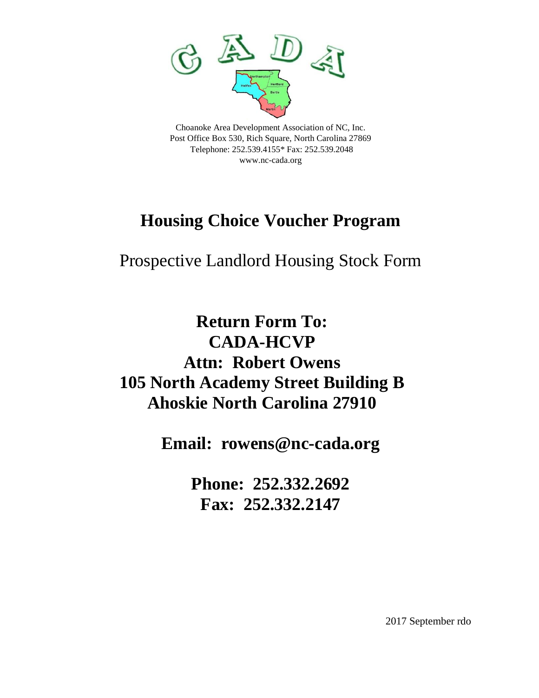

Post Office Box 530, Rich Square, North Carolina 27869 Telephone: 252.539.4155\* Fax: 252.539.2048 [www.nc-cada.org](http://www.nc-cada.org/)

## **Housing Choice Voucher Program**

## Prospective Landlord Housing Stock Form

## **Return Form To: CADA-HCVP Attn: Robert Owens 105 North Academy Street Building B Ahoskie North Carolina 27910**

**Email: rowens@nc-cada.org**

**Phone: 252.332.2692 Fax: 252.332.2147**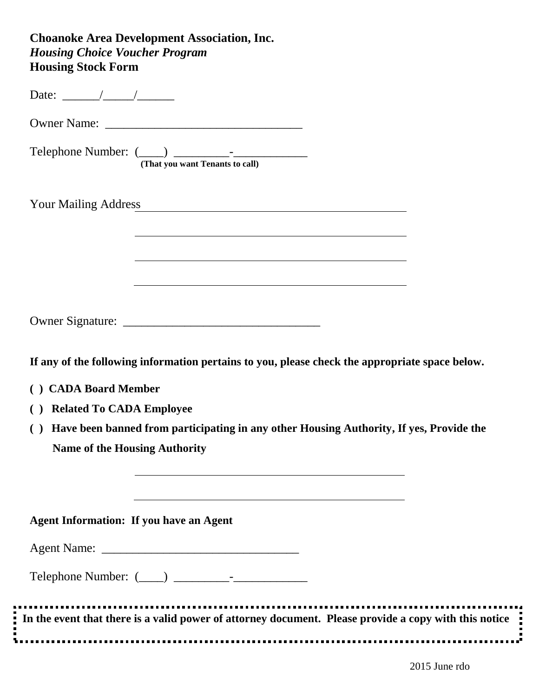## **Choanoke Area Development Association, Inc.**  *Housing Choice Voucher Program* **Housing Stock Form**

| (That you want Tenants to call)                                                                                                                           |
|-----------------------------------------------------------------------------------------------------------------------------------------------------------|
| Your Mailing Address Theory of The Mailing Address                                                                                                        |
| <u> 1980 - Johann Stoff, deutscher Stoff, der Stoff, der Stoff, der Stoff, der Stoff, der Stoff, der Stoff, der S</u>                                     |
|                                                                                                                                                           |
| <u> 1989 - Johann Stoff, deutscher Stoffen und der Stoffen und der Stoffen und der Stoffen und der Stoffen und de</u>                                     |
|                                                                                                                                                           |
| If any of the following information pertains to you, please check the appropriate space below.                                                            |
| ( ) CADA Board Member                                                                                                                                     |
| <b>Related To CADA Employee</b><br>$\left( \quad \right)$                                                                                                 |
| Have been banned from participating in any other Housing Authority, If yes, Provide the<br>$\left( \quad \right)$<br><b>Name of the Housing Authority</b> |
|                                                                                                                                                           |
|                                                                                                                                                           |
| <b>Agent Information: If you have an Agent</b>                                                                                                            |
|                                                                                                                                                           |
|                                                                                                                                                           |
|                                                                                                                                                           |
| In the event that there is a valid power of attorney document. Please provide a copy with this notice                                                     |
|                                                                                                                                                           |